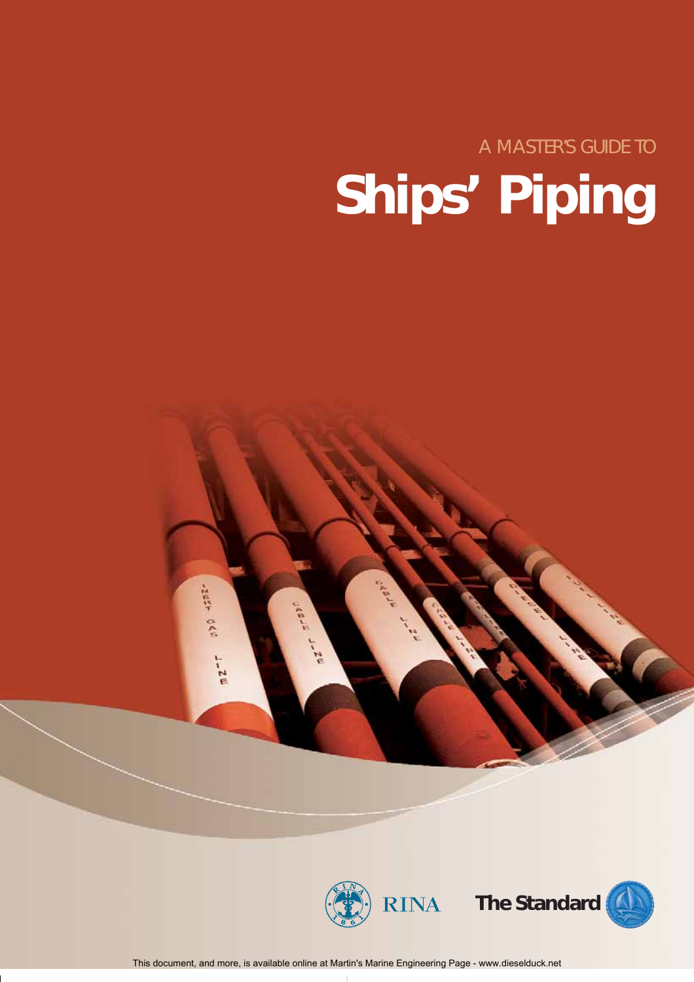## A MASTER'S GUIDE TO **Ships' Piping**



**RINA** The Standard



This document, and more, is available online at Martin's Marine Engineering Page - www.dieselduck.net

 $\frac{1}{2}$  =  $\frac{1}{2}$  =  $\frac{1}{2}$  =  $\frac{1}{2}$ 

 $\frac{1}{2} \log \frac{1}{2}$ 

 $m = -7$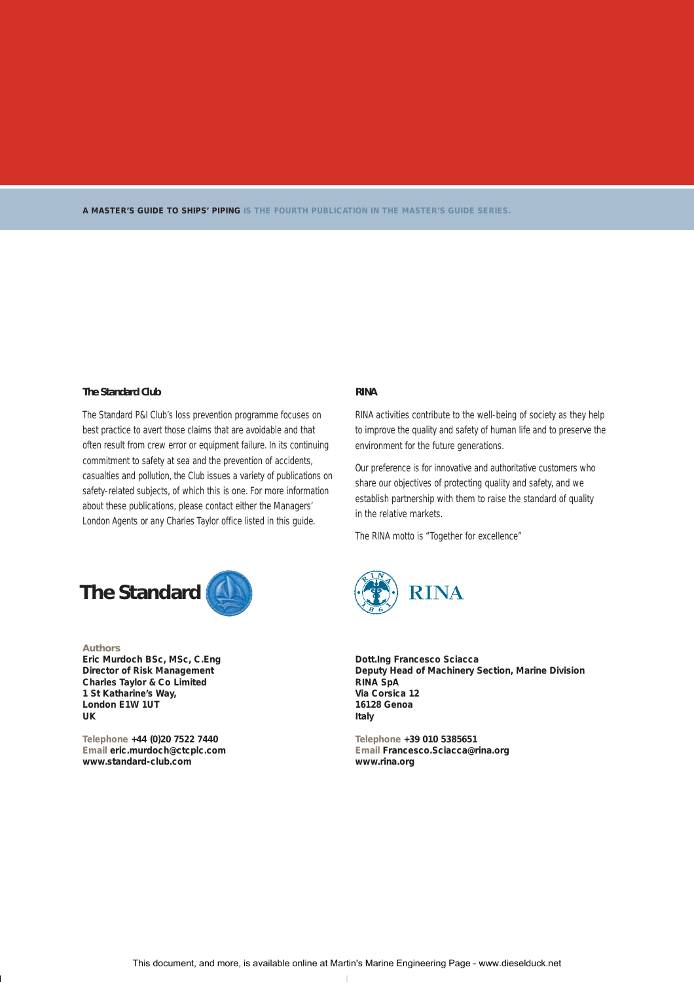**A MASTER'S GUIDE TO SHIPS' PIPING IS THE FOURTH PUBLICATION IN THE MASTER'S GUIDE SERIES.**

#### **The Standard Club**

The Standard P&I Club's loss prevention programme focuses on best practice to avert those claims that are avoidable and that often result from crew error or equipment failure. In its continuing commitment to safety at sea and the prevention of accidents, casualties and pollution, the Club issues a variety of publications on safety-related subjects, of which this is one. For more information about these publications, please contact either the Managers' London Agents or any Charles Taylor office listed in this guide.



#### **Authors**

**Eric Murdoch BSc, MSc, C.Eng Director of Risk Management Charles Taylor & Co Limited 1 St Katharine's Way, London E1W 1UT UK**

**Telephone +44 (0)20 7522 7440 Email eric.murdoch@ctcplc.com www.standard-club.com** 

#### **RINA**

RINA activities contribute to the well-being of society as they help to improve the quality and safety of human life and to preserve the environment for the future generations.

Our preference is for innovative and authoritative customers who share our objectives of protecting quality and safety, and we establish partnership with them to raise the standard of quality in the relative markets.

The RINA motto is "Together for excellence"



**Dott.Ing Francesco Sciacca Deputy Head of Machinery Section, Marine Division RINA SpA Via Corsica 12 16128 Genoa Italy**

**Telephone +39 010 5385651 Email Francesco.Sciacca@rina.org www.rina.org**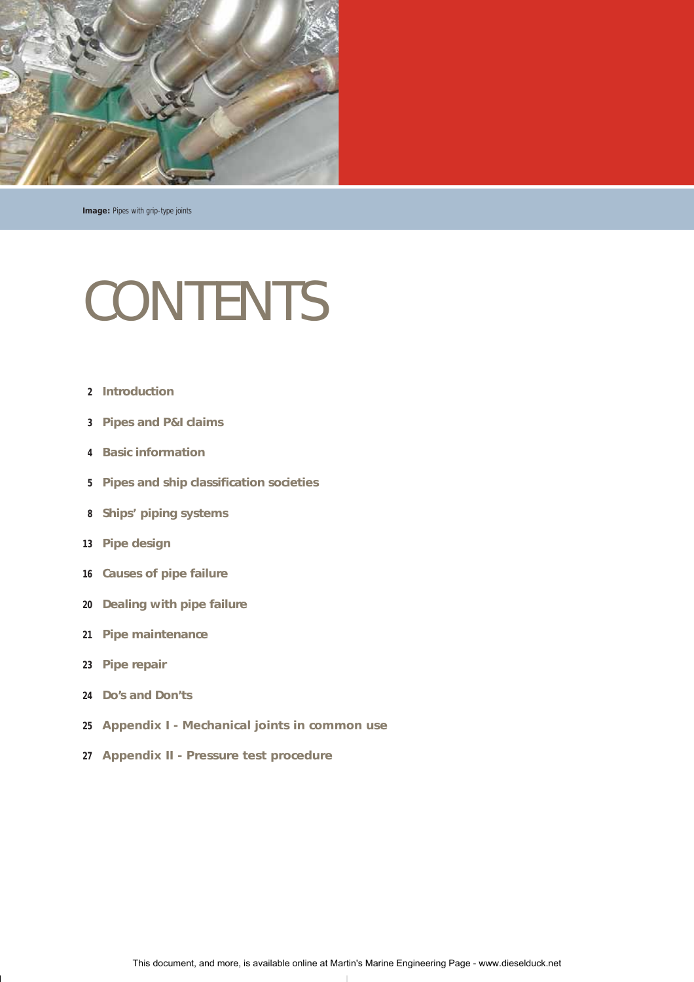

**Image:** Pipes with grip-type joints

# CONTENTS

- **Introduction**
- **Pipes and P&I claims**
- **Basic information**
- **Pipes and ship classification societies**
- **Ships' piping systems**
- **Pipe design**
- **Causes of pipe failure**
- **Dealing with pipe failure**
- **Pipe maintenance**
- **Pipe repair**
- **Do's and Don'ts**
- **Appendix I Mechanical joints in common use**
- **Appendix II Pressure test procedure**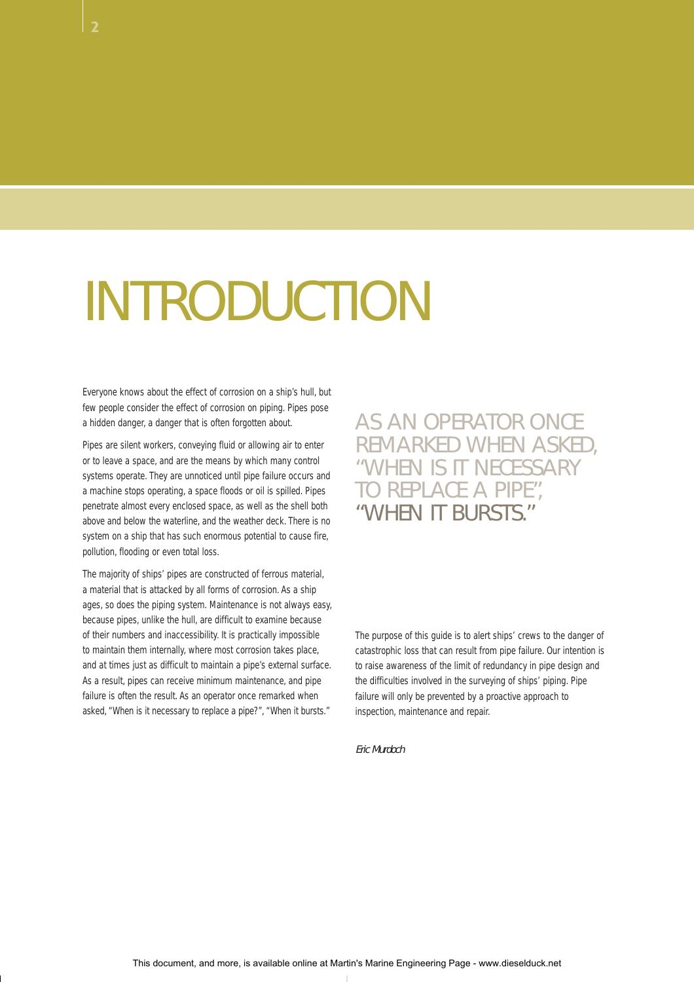# INTRODUCTION

Everyone knows about the effect of corrosion on a ship's hull, but few people consider the effect of corrosion on piping. Pipes pose a hidden danger, a danger that is often forgotten about.

Pipes are silent workers, conveying fluid or allowing air to enter or to leave a space, and are the means by which many control systems operate. They are unnoticed until pipe failure occurs and a machine stops operating, a space floods or oil is spilled. Pipes penetrate almost every enclosed space, as well as the shell both above and below the waterline, and the weather deck. There is no system on a ship that has such enormous potential to cause fire, pollution, flooding or even total loss.

The majority of ships' pipes are constructed of ferrous material, a material that is attacked by all forms of corrosion. As a ship ages, so does the piping system. Maintenance is not always easy, because pipes, unlike the hull, are difficult to examine because of their numbers and inaccessibility. It is practically impossible to maintain them internally, where most corrosion takes place, and at times just as difficult to maintain a pipe's external surface. As a result, pipes can receive minimum maintenance, and pipe failure is often the result. As an operator once remarked when asked, "When is it necessary to replace a pipe?", "When it bursts."

AS AN OPERATOR ONCE REMARKED WHEN ASKED, "WHEN IS IT NECESSARY TO REPLACE A PIPE", "WHEN IT BURSTS."

The purpose of this guide is to alert ships' crews to the danger of catastrophic loss that can result from pipe failure. Our intention is to raise awareness of the limit of redundancy in pipe design and the difficulties involved in the surveying of ships' piping. Pipe failure will only be prevented by a proactive approach to inspection, maintenance and repair.

Eric Murdoch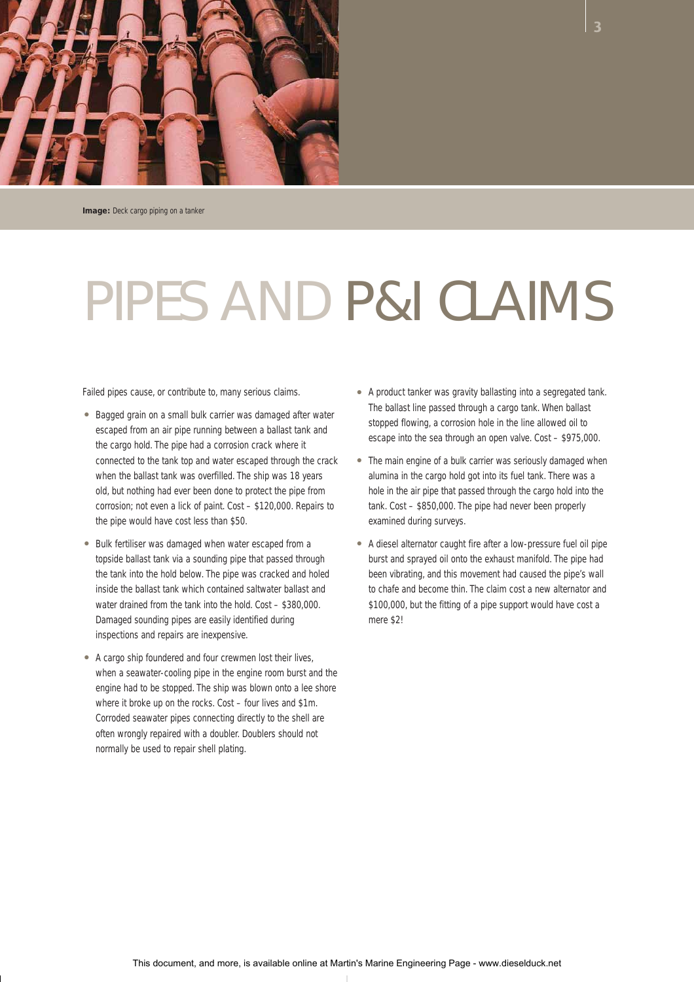

**Image:** Deck cargo piping on a tanker

# PIPES AND P&I CLAIMS

Failed pipes cause, or contribute to, many serious claims.

- Bagged grain on a small bulk carrier was damaged after water escaped from an air pipe running between a ballast tank and the cargo hold. The pipe had a corrosion crack where it connected to the tank top and water escaped through the crack when the ballast tank was overfilled. The ship was 18 years old, but nothing had ever been done to protect the pipe from corrosion; not even a lick of paint. Cost – \$120,000. Repairs to the pipe would have cost less than \$50.
- Bulk fertiliser was damaged when water escaped from a topside ballast tank via a sounding pipe that passed through the tank into the hold below. The pipe was cracked and holed inside the ballast tank which contained saltwater ballast and water drained from the tank into the hold. Cost – \$380,000. Damaged sounding pipes are easily identified during inspections and repairs are inexpensive.
- A cargo ship foundered and four crewmen lost their lives, when a seawater-cooling pipe in the engine room burst and the engine had to be stopped. The ship was blown onto a lee shore where it broke up on the rocks. Cost – four lives and \$1m. Corroded seawater pipes connecting directly to the shell are often wrongly repaired with a doubler. Doublers should not normally be used to repair shell plating.
- A product tanker was gravity ballasting into a segregated tank. The ballast line passed through a cargo tank. When ballast stopped flowing, a corrosion hole in the line allowed oil to escape into the sea through an open valve. Cost – \$975,000.
- The main engine of a bulk carrier was seriously damaged when alumina in the cargo hold got into its fuel tank. There was a hole in the air pipe that passed through the cargo hold into the tank. Cost – \$850,000. The pipe had never been properly examined during surveys.
- A diesel alternator caught fire after a low-pressure fuel oil pipe burst and sprayed oil onto the exhaust manifold. The pipe had been vibrating, and this movement had caused the pipe's wall to chafe and become thin. The claim cost a new alternator and \$100,000, but the fitting of a pipe support would have cost a mere \$2!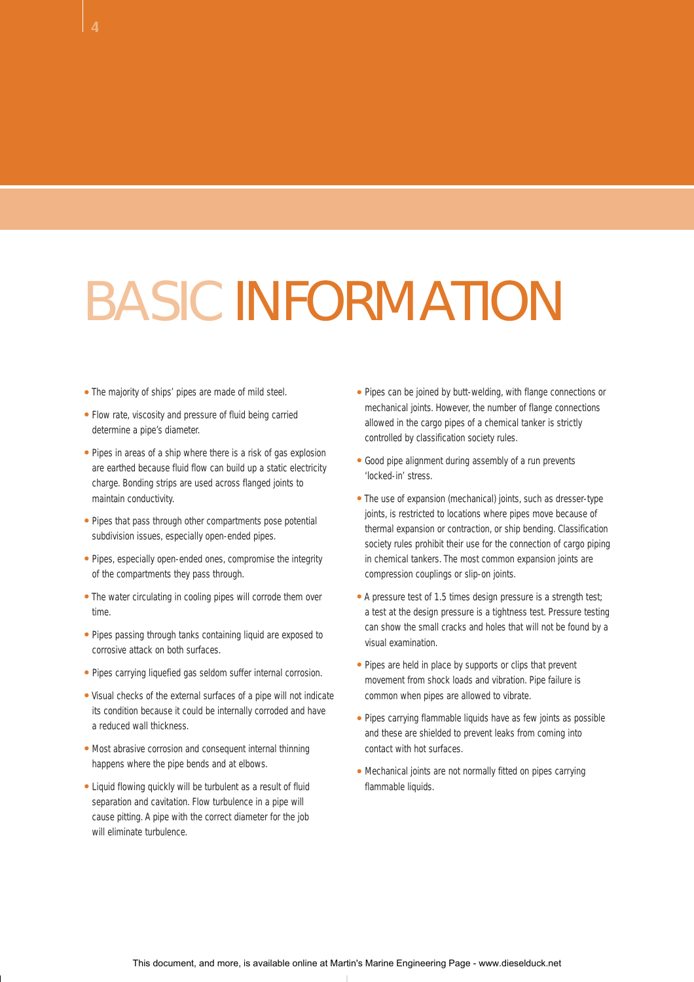# BASIC INFORMATION

- The majority of ships' pipes are made of mild steel.
- Flow rate, viscosity and pressure of fluid being carried determine a pipe's diameter.
- Pipes in areas of a ship where there is a risk of gas explosion are earthed because fluid flow can build up a static electricity charge. Bonding strips are used across flanged joints to maintain conductivity.
- Pipes that pass through other compartments pose potential subdivision issues, especially open-ended pipes.
- Pipes, especially open-ended ones, compromise the integrity of the compartments they pass through.
- The water circulating in cooling pipes will corrode them over time.
- Pipes passing through tanks containing liquid are exposed to corrosive attack on both surfaces.
- Pipes carrying liquefied gas seldom suffer internal corrosion.
- Visual checks of the external surfaces of a pipe will not indicate its condition because it could be internally corroded and have a reduced wall thickness.
- Most abrasive corrosion and consequent internal thinning happens where the pipe bends and at elbows.
- Liquid flowing quickly will be turbulent as a result of fluid separation and cavitation. Flow turbulence in a pipe will cause pitting. A pipe with the correct diameter for the job will eliminate turbulence.
- Pipes can be joined by butt-welding, with flange connections or mechanical joints. However, the number of flange connections allowed in the cargo pipes of a chemical tanker is strictly controlled by classification society rules.
- Good pipe alignment during assembly of a run prevents 'locked-in' stress.
- The use of expansion (mechanical) joints, such as dresser-type joints, is restricted to locations where pipes move because of thermal expansion or contraction, or ship bending. Classification society rules prohibit their use for the connection of cargo piping in chemical tankers. The most common expansion joints are compression couplings or slip-on joints.
- A pressure test of 1.5 times design pressure is a strength test; a test at the design pressure is a tightness test. Pressure testing can show the small cracks and holes that will not be found by a visual examination.
- Pipes are held in place by supports or clips that prevent movement from shock loads and vibration. Pipe failure is common when pipes are allowed to vibrate.
- Pipes carrying flammable liquids have as few joints as possible and these are shielded to prevent leaks from coming into contact with hot surfaces.
- Mechanical joints are not normally fitted on pipes carrying flammable liquids.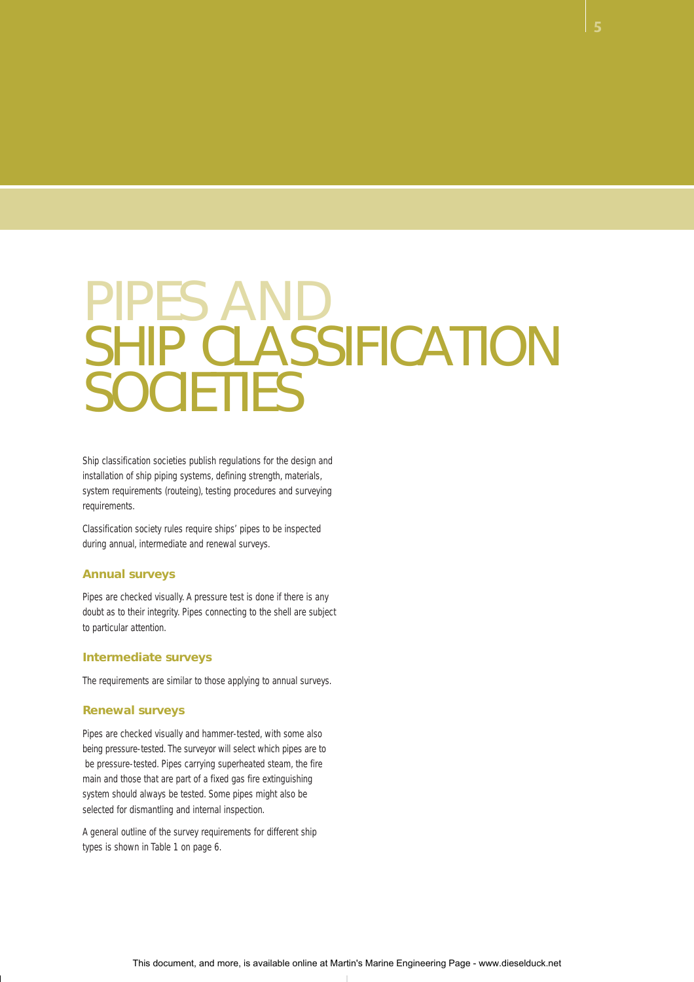## PIPES AND SHIP CLASSIFICATION **SOCIETIES**

Ship classification societies publish regulations for the design and installation of ship piping systems, defining strength, materials, system requirements (routeing), testing procedures and surveying requirements.

Classification society rules require ships' pipes to be inspected during annual, intermediate and renewal surveys.

#### **Annual surveys**

Pipes are checked visually. A pressure test is done if there is any doubt as to their integrity. Pipes connecting to the shell are subject to particular attention.

#### **Intermediate surveys**

The requirements are similar to those applying to annual surveys.

#### **Renewal surveys**

Pipes are checked visually and hammer-tested, with some also being pressure-tested. The surveyor will select which pipes are to be pressure-tested. Pipes carrying superheated steam, the fire main and those that are part of a fixed gas fire extinguishing system should always be tested. Some pipes might also be selected for dismantling and internal inspection.

A general outline of the survey requirements for different ship types is shown in Table 1 on page 6.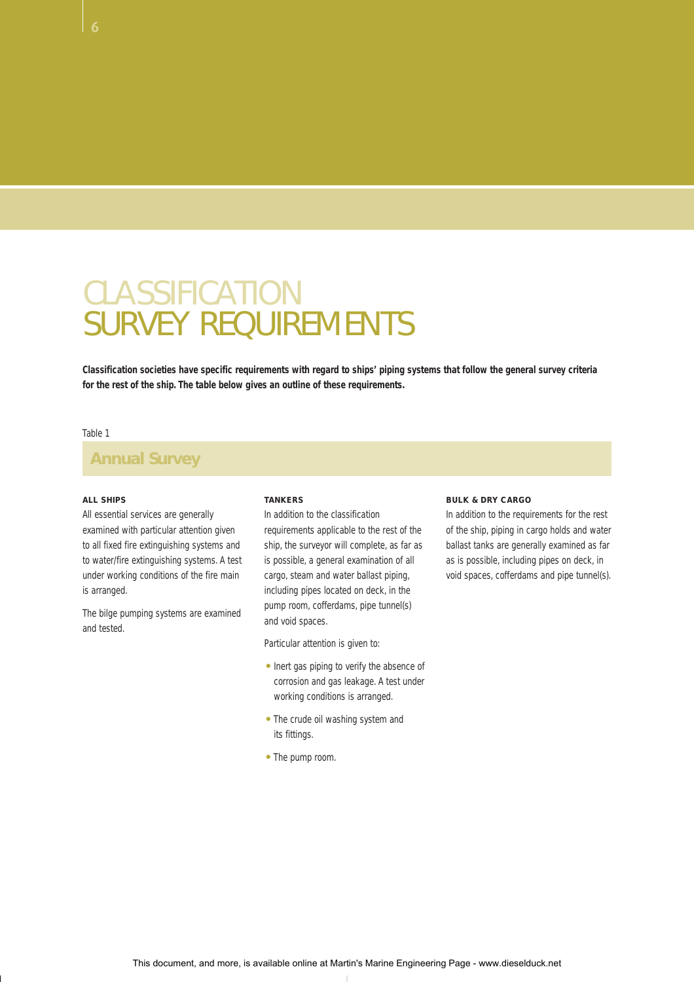### CLASSIFICATION SURVEY REQUIREMENTS

**Classification societies have specific requirements with regard to ships' piping systems that follow the general survey criteria for the rest of the ship. The table below gives an outline of these requirements.**

#### Table 1

#### **Annual Survey**

#### **ALL SHIPS**

All essential services are generally examined with particular attention given to all fixed fire extinguishing systems and to water/fire extinguishing systems. A test under working conditions of the fire main is arranged.

The bilge pumping systems are examined and tested.

#### **TANKERS**

In addition to the classification requirements applicable to the rest of the ship, the surveyor will complete, as far as is possible, a general examination of all cargo, steam and water ballast piping, including pipes located on deck, in the pump room, cofferdams, pipe tunnel(s) and void spaces.

Particular attention is given to:

- Inert gas piping to verify the absence of corrosion and gas leakage. A test under working conditions is arranged.
- The crude oil washing system and its fittings.
- The pump room.

#### **BULK & DRY CARGO**

In addition to the requirements for the rest of the ship, piping in cargo holds and water ballast tanks are generally examined as far as is possible, including pipes on deck, in void spaces, cofferdams and pipe tunnel(s).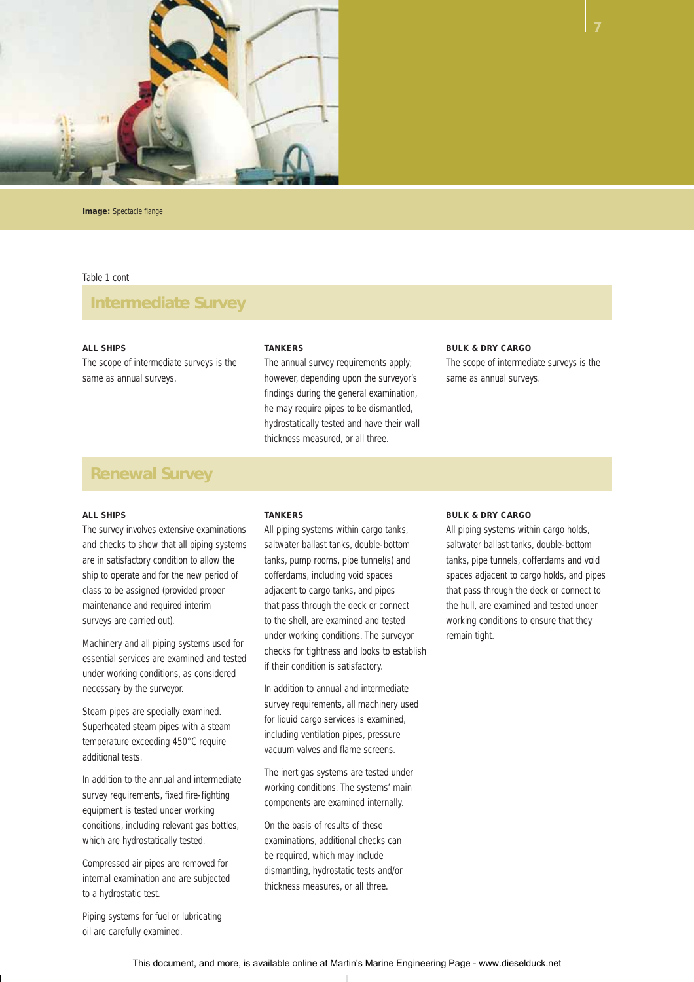

**Image:** Spectacle flange

#### Table 1 cont

#### **Intermediate Survey**

#### **ALL SHIPS**

The scope of intermediate surveys is the same as annual surveys.

#### **TANKERS**

The annual survey requirements apply; however, depending upon the surveyor's findings during the general examination, he may require pipes to be dismantled, hydrostatically tested and have their wall thickness measured, or all three.

#### **BULK & DRY CARGO**

The scope of intermediate surveys is the same as annual surveys.

#### **Renewal Survey**

#### **ALL SHIPS**

The survey involves extensive examinations and checks to show that all piping systems are in satisfactory condition to allow the ship to operate and for the new period of class to be assigned (provided proper maintenance and required interim surveys are carried out).

Machinery and all piping systems used for essential services are examined and tested under working conditions, as considered necessary by the surveyor.

Steam pipes are specially examined. Superheated steam pipes with a steam temperature exceeding 450°C require additional tests.

In addition to the annual and intermediate survey requirements, fixed fire-fighting equipment is tested under working conditions, including relevant gas bottles, which are hydrostatically tested.

Compressed air pipes are removed for internal examination and are subjected to a hydrostatic test.

Piping systems for fuel or lubricating oil are carefully examined.

#### **TANKERS**

All piping systems within cargo tanks, saltwater ballast tanks, double-bottom tanks, pump rooms, pipe tunnel(s) and cofferdams, including void spaces adjacent to cargo tanks, and pipes that pass through the deck or connect to the shell, are examined and tested under working conditions. The surveyor checks for tightness and looks to establish if their condition is satisfactory.

In addition to annual and intermediate survey requirements, all machinery used for liquid cargo services is examined, including ventilation pipes, pressure vacuum valves and flame screens.

The inert gas systems are tested under working conditions. The systems' main components are examined internally.

On the basis of results of these examinations, additional checks can be required, which may include dismantling, hydrostatic tests and/or thickness measures, or all three.

#### **BULK & DRY CARGO**

All piping systems within cargo holds, saltwater ballast tanks, double-bottom tanks, pipe tunnels, cofferdams and void spaces adjacent to cargo holds, and pipes that pass through the deck or connect to the hull, are examined and tested under working conditions to ensure that they remain tight.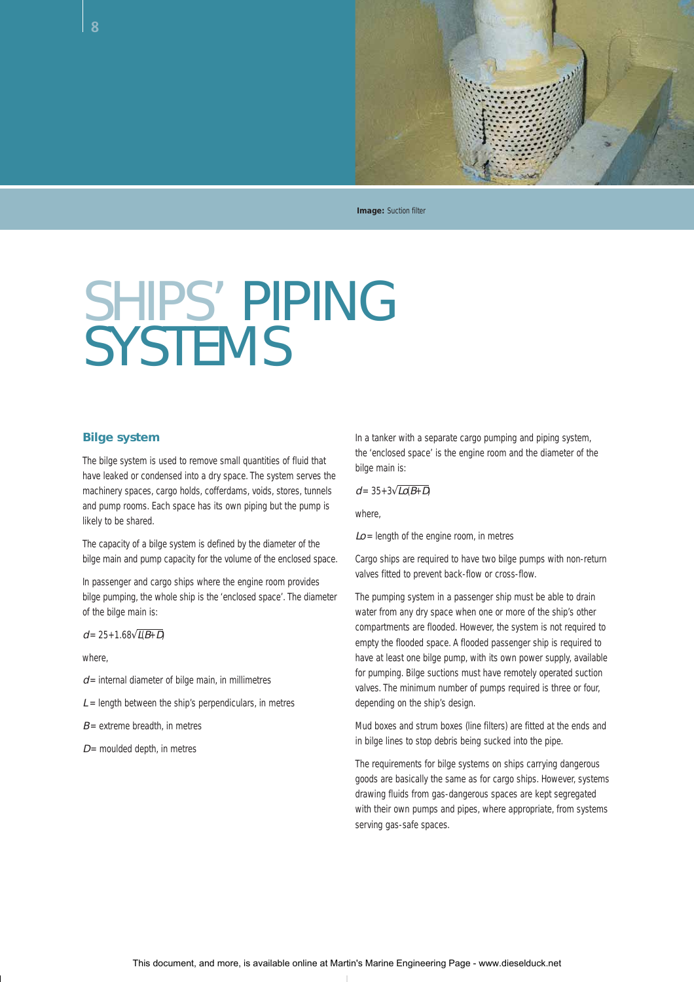

**Image:** Suction filter

## SHIPS' PIPING **SYSTEMS**

#### **Bilge system**

The bilge system is used to remove small quantities of fluid that have leaked or condensed into a dry space. The system serves the machinery spaces, cargo holds, cofferdams, voids, stores, tunnels and pump rooms. Each space has its own piping but the pump is likely to be shared.

The capacity of a bilge system is defined by the diameter of the bilge main and pump capacity for the volume of the enclosed space.

In passenger and cargo ships where the engine room provides bilge pumping, the whole ship is the 'enclosed space'. The diameter of the bilge main is:

 $d = 25+1.68\sqrt{L(B+D)}$ 

where,

- $d =$  internal diameter of bilge main, in millimetres
- $L =$  length between the ship's perpendiculars, in metres
- $B =$  extreme breadth, in metres
- $D =$  moulded depth, in metres

In a tanker with a separate cargo pumping and piping system, the 'enclosed space' is the engine room and the diameter of the bilge main is:

```
d = 35 + 3\sqrt{Lo(B+D)}
```
where,

 $Lo =$  length of the engine room, in metres

Cargo ships are required to have two bilge pumps with non-return valves fitted to prevent back-flow or cross-flow.

The pumping system in a passenger ship must be able to drain water from any dry space when one or more of the ship's other compartments are flooded. However, the system is not required to empty the flooded space. A flooded passenger ship is required to have at least one bilge pump, with its own power supply, available for pumping. Bilge suctions must have remotely operated suction valves. The minimum number of pumps required is three or four, depending on the ship's design.

Mud boxes and strum boxes (line filters) are fitted at the ends and in bilge lines to stop debris being sucked into the pipe.

The requirements for bilge systems on ships carrying dangerous goods are basically the same as for cargo ships. However, systems drawing fluids from gas-dangerous spaces are kept segregated with their own pumps and pipes, where appropriate, from systems serving gas-safe spaces.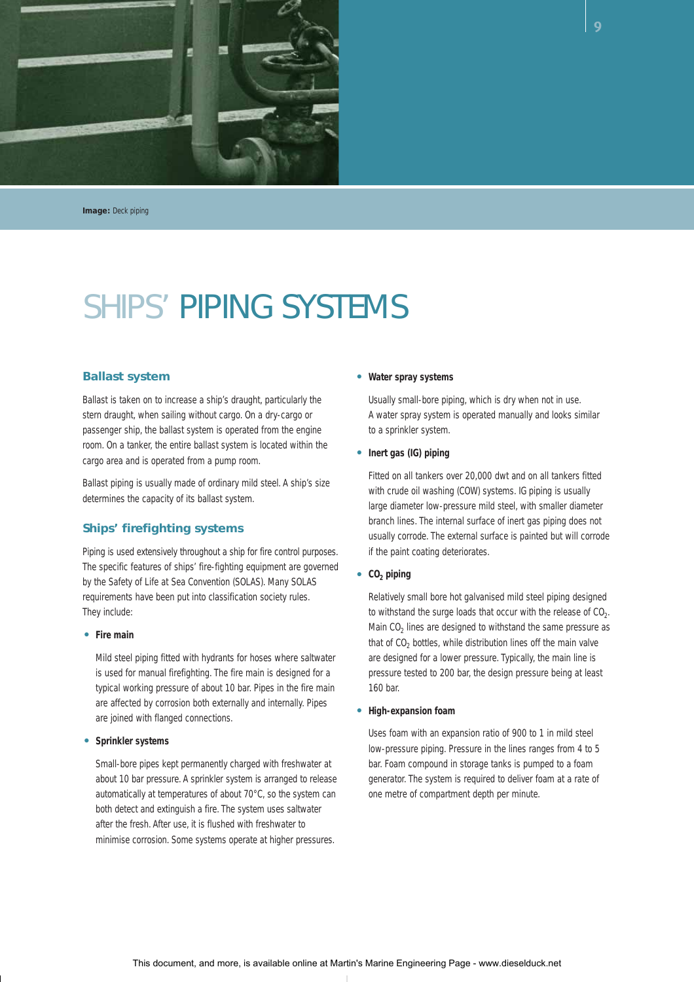

**Image:** Deck piping

### SHIPS' PIPING SYSTEMS

#### **Ballast system**

Ballast is taken on to increase a ship's draught, particularly the stern draught, when sailing without cargo. On a dry-cargo or passenger ship, the ballast system is operated from the engine room. On a tanker, the entire ballast system is located within the cargo area and is operated from a pump room.

Ballast piping is usually made of ordinary mild steel. A ship's size determines the capacity of its ballast system.

#### **Ships' firefighting systems**

Piping is used extensively throughout a ship for fire control purposes. The specific features of ships' fire-fighting equipment are governed by the Safety of Life at Sea Convention (SOLAS). Many SOLAS requirements have been put into classification society rules. They include:

• **Fire main**

Mild steel piping fitted with hydrants for hoses where saltwater is used for manual firefighting. The fire main is designed for a typical working pressure of about 10 bar. Pipes in the fire main are affected by corrosion both externally and internally. Pipes are joined with flanged connections.

• **Sprinkler systems**

Small-bore pipes kept permanently charged with freshwater at about 10 bar pressure. A sprinkler system is arranged to release automatically at temperatures of about 70°C, so the system can both detect and extinguish a fire. The system uses saltwater after the fresh. After use, it is flushed with freshwater to minimise corrosion. Some systems operate at higher pressures.

#### • **Water spray systems**

Usually small-bore piping, which is dry when not in use. A water spray system is operated manually and looks similar to a sprinkler system.

**9**

#### • **Inert gas (IG) piping**

Fitted on all tankers over 20,000 dwt and on all tankers fitted with crude oil washing (COW) systems. IG piping is usually large diameter low-pressure mild steel, with smaller diameter branch lines. The internal surface of inert gas piping does not usually corrode. The external surface is painted but will corrode if the paint coating deteriorates.

 $\cdot$  **CO<sub>2</sub>** piping

Relatively small bore hot galvanised mild steel piping designed to withstand the surge loads that occur with the release of  $CO<sub>2</sub>$ . Main  $CO<sub>2</sub>$  lines are designed to withstand the same pressure as that of  $CO<sub>2</sub>$  bottles, while distribution lines off the main valve are designed for a lower pressure. Typically, the main line is pressure tested to 200 bar, the design pressure being at least 160 bar.

• **High-expansion foam**

Uses foam with an expansion ratio of 900 to 1 in mild steel low-pressure piping. Pressure in the lines ranges from 4 to 5 bar. Foam compound in storage tanks is pumped to a foam generator. The system is required to deliver foam at a rate of one metre of compartment depth per minute.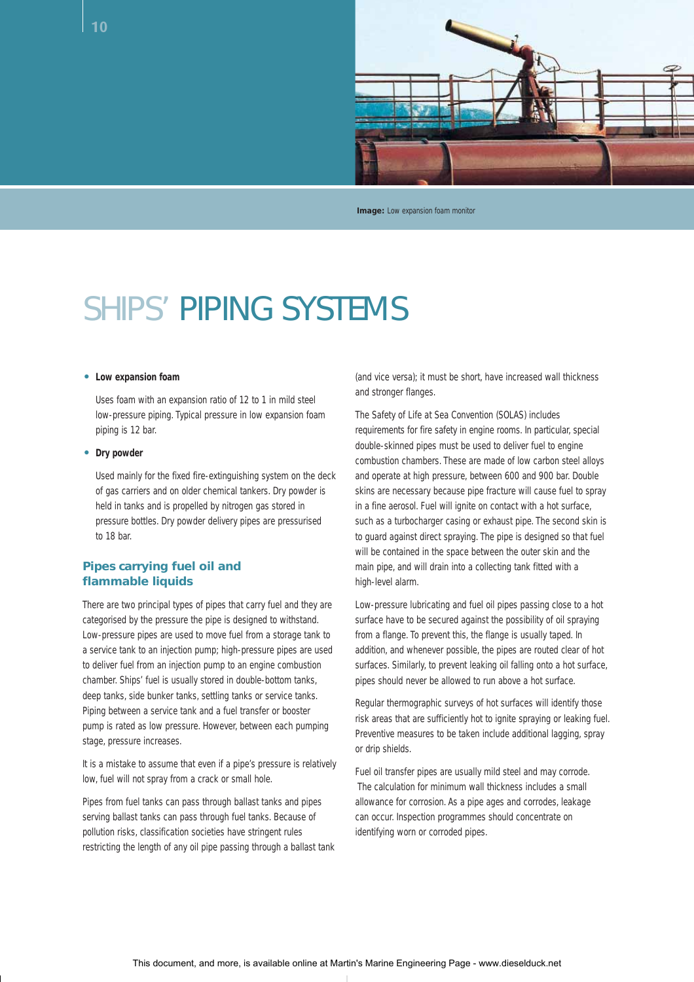

**Image:** Low expansion foam monitor

### SHIPS' PIPING SYSTEMS

#### • **Low expansion foam**

Uses foam with an expansion ratio of 12 to 1 in mild steel low-pressure piping. Typical pressure in low expansion foam piping is 12 bar.

#### • **Dry powder**

Used mainly for the fixed fire-extinguishing system on the deck of gas carriers and on older chemical tankers. Dry powder is held in tanks and is propelled by nitrogen gas stored in pressure bottles. Dry powder delivery pipes are pressurised to 18 bar.

#### **Pipes carrying fuel oil and flammable liquids**

There are two principal types of pipes that carry fuel and they are categorised by the pressure the pipe is designed to withstand. Low-pressure pipes are used to move fuel from a storage tank to a service tank to an injection pump; high-pressure pipes are used to deliver fuel from an injection pump to an engine combustion chamber. Ships' fuel is usually stored in double-bottom tanks, deep tanks, side bunker tanks, settling tanks or service tanks. Piping between a service tank and a fuel transfer or booster pump is rated as low pressure. However, between each pumping stage, pressure increases.

It is a mistake to assume that even if a pipe's pressure is relatively low, fuel will not spray from a crack or small hole.

Pipes from fuel tanks can pass through ballast tanks and pipes serving ballast tanks can pass through fuel tanks. Because of pollution risks, classification societies have stringent rules restricting the length of any oil pipe passing through a ballast tank (and vice versa); it must be short, have increased wall thickness and stronger flanges.

The Safety of Life at Sea Convention (SOLAS) includes requirements for fire safety in engine rooms. In particular, special double-skinned pipes must be used to deliver fuel to engine combustion chambers. These are made of low carbon steel alloys and operate at high pressure, between 600 and 900 bar. Double skins are necessary because pipe fracture will cause fuel to spray in a fine aerosol. Fuel will ignite on contact with a hot surface, such as a turbocharger casing or exhaust pipe. The second skin is to guard against direct spraying. The pipe is designed so that fuel will be contained in the space between the outer skin and the main pipe, and will drain into a collecting tank fitted with a high-level alarm.

Low-pressure lubricating and fuel oil pipes passing close to a hot surface have to be secured against the possibility of oil spraying from a flange. To prevent this, the flange is usually taped. In addition, and whenever possible, the pipes are routed clear of hot surfaces. Similarly, to prevent leaking oil falling onto a hot surface, pipes should never be allowed to run above a hot surface.

Regular thermographic surveys of hot surfaces will identify those risk areas that are sufficiently hot to ignite spraying or leaking fuel. Preventive measures to be taken include additional lagging, spray or drip shields.

Fuel oil transfer pipes are usually mild steel and may corrode. The calculation for minimum wall thickness includes a small allowance for corrosion. As a pipe ages and corrodes, leakage can occur. Inspection programmes should concentrate on identifying worn or corroded pipes.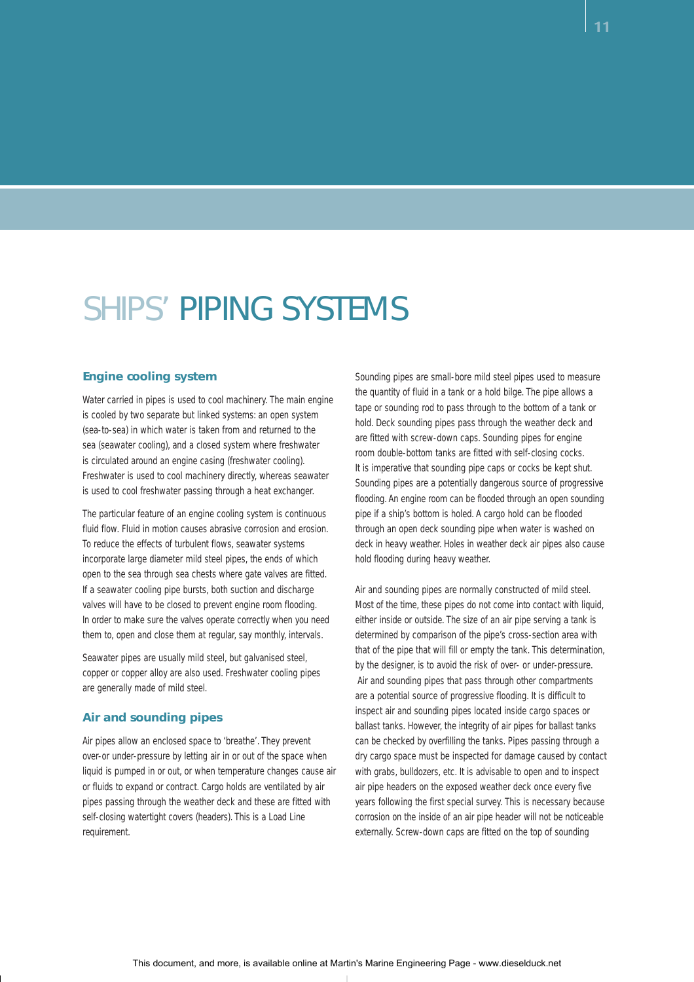### SHIPS' PIPING SYSTEMS

#### **Engine cooling system**

Water carried in pipes is used to cool machinery. The main engine is cooled by two separate but linked systems: an open system (sea-to-sea) in which water is taken from and returned to the sea (seawater cooling), and a closed system where freshwater is circulated around an engine casing (freshwater cooling). Freshwater is used to cool machinery directly, whereas seawater is used to cool freshwater passing through a heat exchanger.

The particular feature of an engine cooling system is continuous fluid flow. Fluid in motion causes abrasive corrosion and erosion. To reduce the effects of turbulent flows, seawater systems incorporate large diameter mild steel pipes, the ends of which open to the sea through sea chests where gate valves are fitted. If a seawater cooling pipe bursts, both suction and discharge valves will have to be closed to prevent engine room flooding. In order to make sure the valves operate correctly when you need them to, open and close them at regular, say monthly, intervals.

Seawater pipes are usually mild steel, but galvanised steel, copper or copper alloy are also used. Freshwater cooling pipes are generally made of mild steel.

#### **Air and sounding pipes**

Air pipes allow an enclosed space to 'breathe'. They prevent over-or under-pressure by letting air in or out of the space when liquid is pumped in or out, or when temperature changes cause air or fluids to expand or contract. Cargo holds are ventilated by air pipes passing through the weather deck and these are fitted with self-closing watertight covers (headers). This is a Load Line requirement.

Sounding pipes are small-bore mild steel pipes used to measure the quantity of fluid in a tank or a hold bilge. The pipe allows a tape or sounding rod to pass through to the bottom of a tank or hold. Deck sounding pipes pass through the weather deck and are fitted with screw-down caps. Sounding pipes for engine room double-bottom tanks are fitted with self-closing cocks. It is imperative that sounding pipe caps or cocks be kept shut. Sounding pipes are a potentially dangerous source of progressive flooding. An engine room can be flooded through an open sounding pipe if a ship's bottom is holed. A cargo hold can be flooded through an open deck sounding pipe when water is washed on deck in heavy weather. Holes in weather deck air pipes also cause hold flooding during heavy weather.

Air and sounding pipes are normally constructed of mild steel. Most of the time, these pipes do not come into contact with liquid, either inside or outside. The size of an air pipe serving a tank is determined by comparison of the pipe's cross-section area with that of the pipe that will fill or empty the tank. This determination, by the designer, is to avoid the risk of over- or under-pressure. Air and sounding pipes that pass through other compartments are a potential source of progressive flooding. It is difficult to inspect air and sounding pipes located inside cargo spaces or ballast tanks. However, the integrity of air pipes for ballast tanks can be checked by overfilling the tanks. Pipes passing through a dry cargo space must be inspected for damage caused by contact with grabs, bulldozers, etc. It is advisable to open and to inspect air pipe headers on the exposed weather deck once every five years following the first special survey. This is necessary because corrosion on the inside of an air pipe header will not be noticeable externally. Screw-down caps are fitted on the top of sounding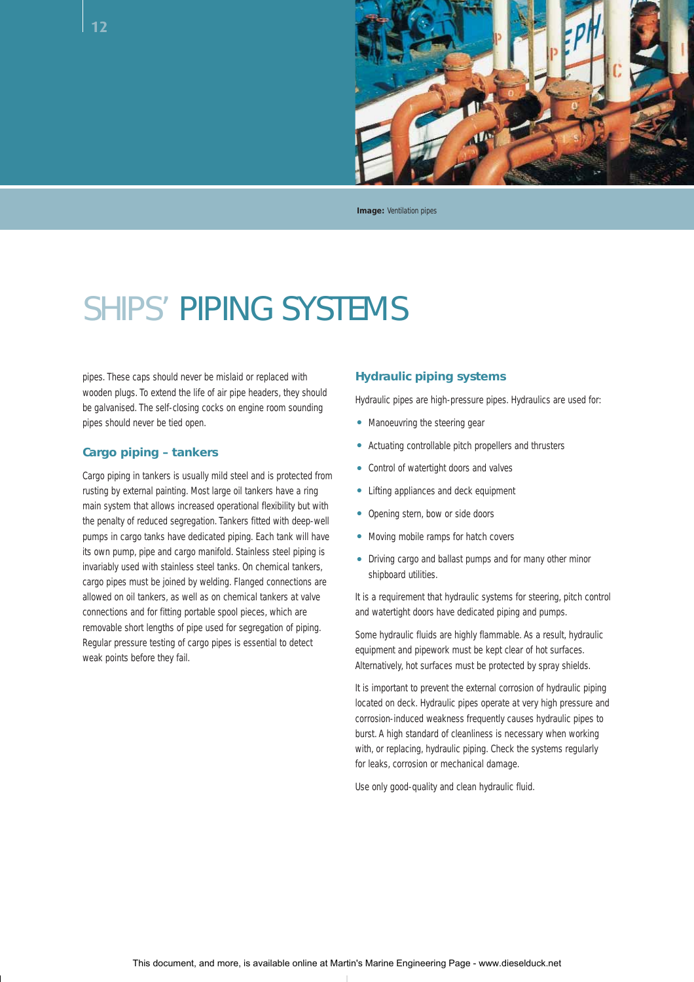

**Image:** Ventilation pipes

### SHIPS' PIPING SYSTEMS

pipes. These caps should never be mislaid or replaced with wooden plugs. To extend the life of air pipe headers, they should be galvanised. The self-closing cocks on engine room sounding pipes should never be tied open.

#### **Cargo piping – tankers**

**12**

Cargo piping in tankers is usually mild steel and is protected from rusting by external painting. Most large oil tankers have a ring main system that allows increased operational flexibility but with the penalty of reduced segregation. Tankers fitted with deep-well pumps in cargo tanks have dedicated piping. Each tank will have its own pump, pipe and cargo manifold. Stainless steel piping is invariably used with stainless steel tanks. On chemical tankers, cargo pipes must be joined by welding. Flanged connections are allowed on oil tankers, as well as on chemical tankers at valve connections and for fitting portable spool pieces, which are removable short lengths of pipe used for segregation of piping. Regular pressure testing of cargo pipes is essential to detect weak points before they fail.

#### **Hydraulic piping systems**

Hydraulic pipes are high-pressure pipes. Hydraulics are used for:

- Manoeuvring the steering gear
- Actuating controllable pitch propellers and thrusters
- Control of watertight doors and valves
- Lifting appliances and deck equipment
- Opening stern, bow or side doors
- Moving mobile ramps for hatch covers
- Driving cargo and ballast pumps and for many other minor shipboard utilities.

It is a requirement that hydraulic systems for steering, pitch control and watertight doors have dedicated piping and pumps.

Some hydraulic fluids are highly flammable. As a result, hydraulic equipment and pipework must be kept clear of hot surfaces. Alternatively, hot surfaces must be protected by spray shields.

It is important to prevent the external corrosion of hydraulic piping located on deck. Hydraulic pipes operate at very high pressure and corrosion-induced weakness frequently causes hydraulic pipes to burst. A high standard of cleanliness is necessary when working with, or replacing, hydraulic piping. Check the systems regularly for leaks, corrosion or mechanical damage.

Use only good-quality and clean hydraulic fluid.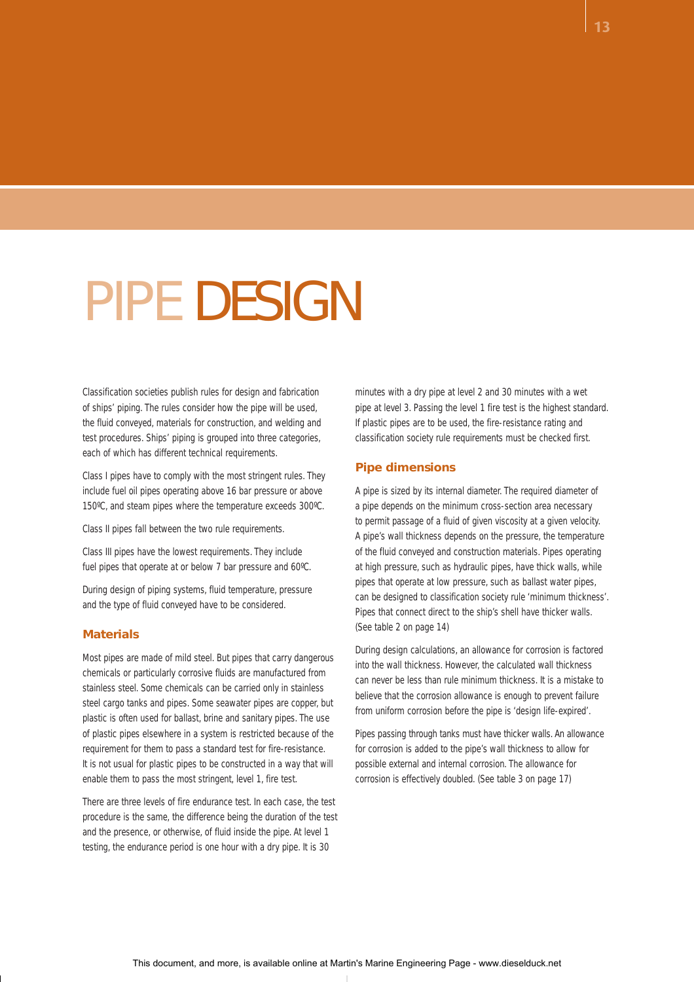# PIPE DESIGN

Classification societies publish rules for design and fabrication of ships' piping. The rules consider how the pipe will be used, the fluid conveyed, materials for construction, and welding and test procedures. Ships' piping is grouped into three categories, each of which has different technical requirements.

Class I pipes have to comply with the most stringent rules. They include fuel oil pipes operating above 16 bar pressure or above 150ºC, and steam pipes where the temperature exceeds 300ºC.

Class II pipes fall between the two rule requirements.

Class III pipes have the lowest requirements. They include fuel pipes that operate at or below 7 bar pressure and 60ºC.

During design of piping systems, fluid temperature, pressure and the type of fluid conveyed have to be considered.

#### **Materials**

Most pipes are made of mild steel. But pipes that carry dangerous chemicals or particularly corrosive fluids are manufactured from stainless steel. Some chemicals can be carried only in stainless steel cargo tanks and pipes. Some seawater pipes are copper, but plastic is often used for ballast, brine and sanitary pipes. The use of plastic pipes elsewhere in a system is restricted because of the requirement for them to pass a standard test for fire-resistance. It is not usual for plastic pipes to be constructed in a way that will enable them to pass the most stringent, level 1, fire test.

There are three levels of fire endurance test. In each case, the test procedure is the same, the difference being the duration of the test and the presence, or otherwise, of fluid inside the pipe. At level 1 testing, the endurance period is one hour with a dry pipe. It is 30

minutes with a dry pipe at level 2 and 30 minutes with a wet pipe at level 3. Passing the level 1 fire test is the highest standard. If plastic pipes are to be used, the fire-resistance rating and classification society rule requirements must be checked first.

#### **Pipe dimensions**

A pipe is sized by its internal diameter. The required diameter of a pipe depends on the minimum cross-section area necessary to permit passage of a fluid of given viscosity at a given velocity. A pipe's wall thickness depends on the pressure, the temperature of the fluid conveyed and construction materials. Pipes operating at high pressure, such as hydraulic pipes, have thick walls, while pipes that operate at low pressure, such as ballast water pipes, can be designed to classification society rule 'minimum thickness'. Pipes that connect direct to the ship's shell have thicker walls. (See table 2 on page 14)

During design calculations, an allowance for corrosion is factored into the wall thickness. However, the calculated wall thickness can never be less than rule minimum thickness. It is a mistake to believe that the corrosion allowance is enough to prevent failure from uniform corrosion before the pipe is 'design life-expired'.

Pipes passing through tanks must have thicker walls. An allowance for corrosion is added to the pipe's wall thickness to allow for possible external and internal corrosion. The allowance for corrosion is effectively doubled. (See table 3 on page 17)

**13**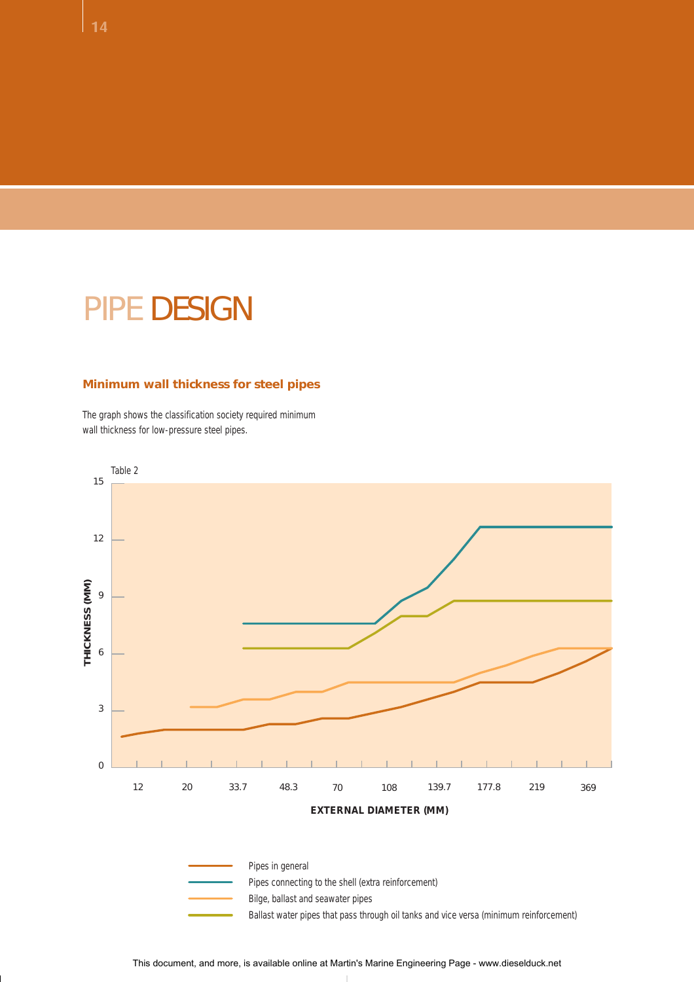### PIPE DESIGN

**14**

#### **Minimum wall thickness for steel pipes**

The graph shows the classification society required minimum wall thickness for low-pressure steel pipes.



#### This document, and more, is available online at Martin's Marine Engineering Page - www.dieselduck.net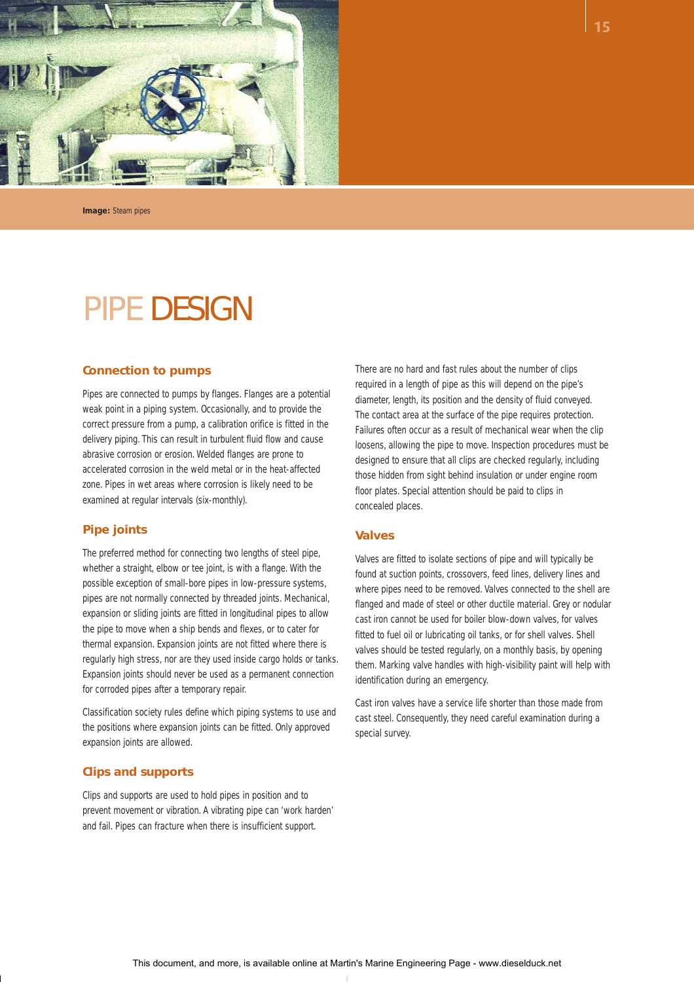

**Image:** Steam pipes

### PIPE DESIGN

#### **Connection to pumps**

Pipes are connected to pumps by flanges. Flanges are a potential weak point in a piping system. Occasionally, and to provide the correct pressure from a pump, a calibration orifice is fitted in the delivery piping. This can result in turbulent fluid flow and cause abrasive corrosion or erosion. Welded flanges are prone to accelerated corrosion in the weld metal or in the heat-affected zone. Pipes in wet areas where corrosion is likely need to be examined at regular intervals (six-monthly).

#### **Pipe joints**

The preferred method for connecting two lengths of steel pipe, whether a straight, elbow or tee joint, is with a flange. With the possible exception of small-bore pipes in low-pressure systems, pipes are not normally connected by threaded joints. Mechanical, expansion or sliding joints are fitted in longitudinal pipes to allow the pipe to move when a ship bends and flexes, or to cater for thermal expansion. Expansion joints are not fitted where there is regularly high stress, nor are they used inside cargo holds or tanks. Expansion joints should never be used as a permanent connection for corroded pipes after a temporary repair.

Classification society rules define which piping systems to use and the positions where expansion joints can be fitted. Only approved expansion joints are allowed.

#### **Clips and supports**

Clips and supports are used to hold pipes in position and to prevent movement or vibration. A vibrating pipe can 'work harden' and fail. Pipes can fracture when there is insufficient support.

There are no hard and fast rules about the number of clips required in a length of pipe as this will depend on the pipe's diameter, length, its position and the density of fluid conveyed. The contact area at the surface of the pipe requires protection. Failures often occur as a result of mechanical wear when the clip loosens, allowing the pipe to move. Inspection procedures must be designed to ensure that all clips are checked regularly, including those hidden from sight behind insulation or under engine room floor plates. Special attention should be paid to clips in concealed places.

#### **Valves**

Valves are fitted to isolate sections of pipe and will typically be found at suction points, crossovers, feed lines, delivery lines and where pipes need to be removed. Valves connected to the shell are flanged and made of steel or other ductile material. Grey or nodular cast iron cannot be used for boiler blow-down valves, for valves fitted to fuel oil or lubricating oil tanks, or for shell valves. Shell valves should be tested regularly, on a monthly basis, by opening them. Marking valve handles with high-visibility paint will help with identification during an emergency.

Cast iron valves have a service life shorter than those made from cast steel. Consequently, they need careful examination during a special survey.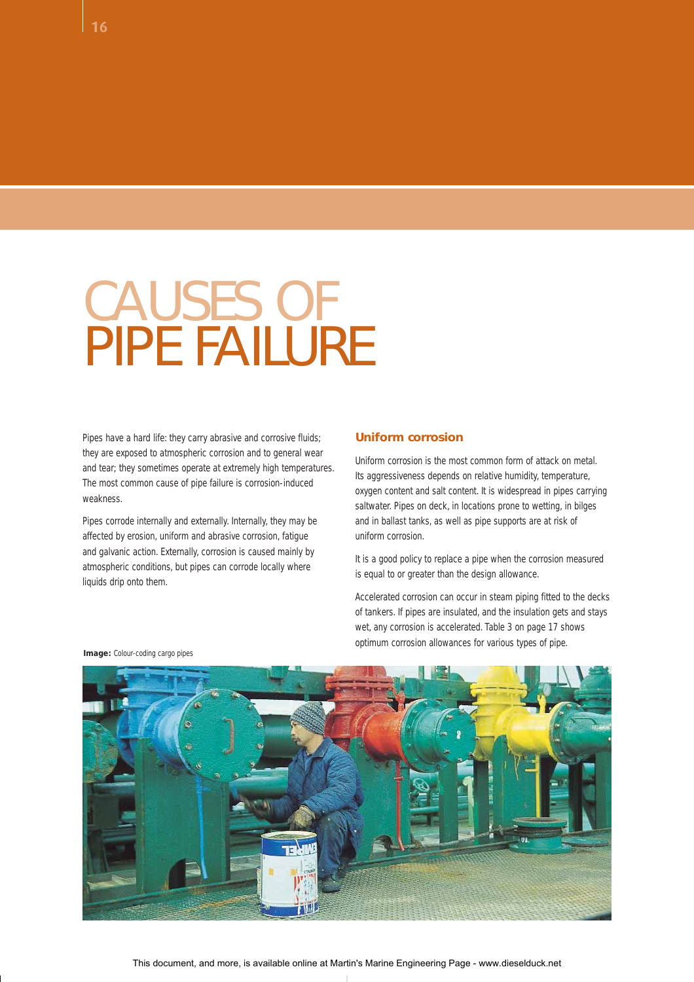## CAUSES OF PIPE FAILURE

Pipes have a hard life: they carry abrasive and corrosive fluids; they are exposed to atmospheric corrosion and to general wear and tear; they sometimes operate at extremely high temperatures. The most common cause of pipe failure is corrosion-induced weakness.

Pipes corrode internally and externally. Internally, they may be affected by erosion, uniform and abrasive corrosion, fatigue and galvanic action. Externally, corrosion is caused mainly by atmospheric conditions, but pipes can corrode locally where liquids drip onto them.

#### **Uniform corrosion**

Uniform corrosion is the most common form of attack on metal. Its aggressiveness depends on relative humidity, temperature, oxygen content and salt content. It is widespread in pipes carrying saltwater. Pipes on deck, in locations prone to wetting, in bilges and in ballast tanks, as well as pipe supports are at risk of uniform corrosion.

It is a good policy to replace a pipe when the corrosion measured is equal to or greater than the design allowance.

Accelerated corrosion can occur in steam piping fitted to the decks of tankers. If pipes are insulated, and the insulation gets and stays wet, any corrosion is accelerated. Table 3 on page 17 shows optimum corrosion allowances for various types of pipe.



**Image:** Colour-coding cargo pipes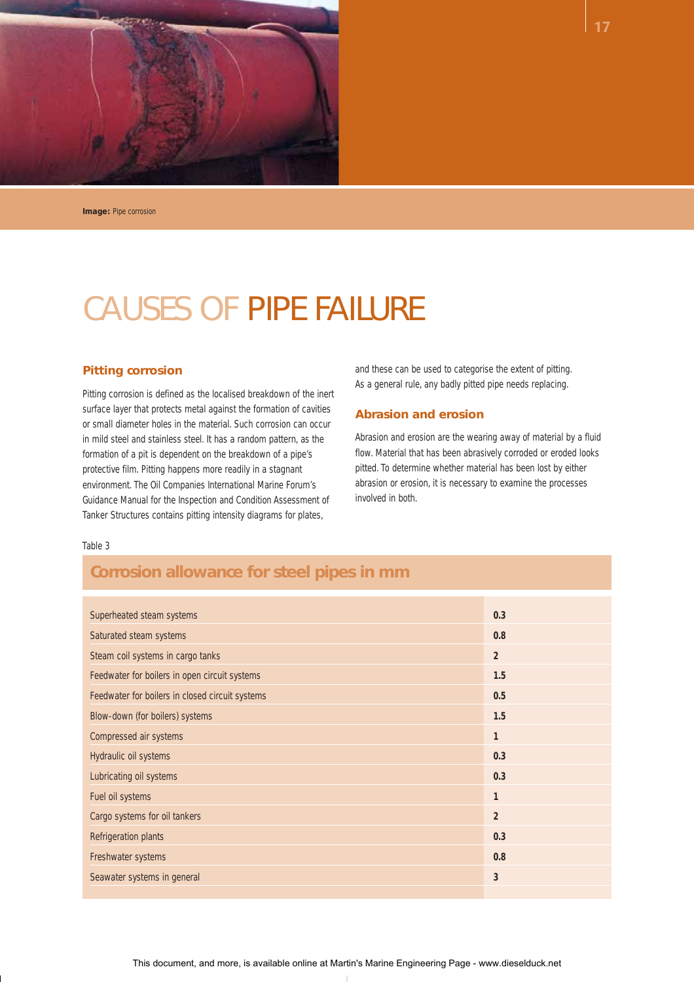

**Image:** Pipe corrosion

### CAUSES OF PIPE FAILURE

#### **Pitting corrosion**

Pitting corrosion is defined as the localised breakdown of the inert surface layer that protects metal against the formation of cavities or small diameter holes in the material. Such corrosion can occur in mild steel and stainless steel. It has a random pattern, as the formation of a pit is dependent on the breakdown of a pipe's protective film. Pitting happens more readily in a stagnant environment. The Oil Companies International Marine Forum's Guidance Manual for the Inspection and Condition Assessment of Tanker Structures contains pitting intensity diagrams for plates,

and these can be used to categorise the extent of pitting. As a general rule, any badly pitted pipe needs replacing.

#### **Abrasion and erosion**

Abrasion and erosion are the wearing away of material by a fluid flow. Material that has been abrasively corroded or eroded looks pitted. To determine whether material has been lost by either abrasion or erosion, it is necessary to examine the processes involved in both.

#### Table 3

#### **Corrosion allowance for steel pipes in mm**

| Superheated steam systems                       | 0.3            |
|-------------------------------------------------|----------------|
| Saturated steam systems                         | 0.8            |
| Steam coil systems in cargo tanks               | $\overline{2}$ |
| Feedwater for boilers in open circuit systems   | 1.5            |
| Feedwater for boilers in closed circuit systems | 0.5            |
| Blow-down (for boilers) systems                 | 1.5            |
| Compressed air systems                          | $\mathbf{1}$   |
| Hydraulic oil systems                           | 0.3            |
| Lubricating oil systems                         | 0.3            |
| Fuel oil systems                                | $\mathbf{1}$   |
| Cargo systems for oil tankers                   | $\overline{2}$ |
| Refrigeration plants                            | 0.3            |
| Freshwater systems                              | 0.8            |
| Seawater systems in general                     | 3              |
|                                                 |                |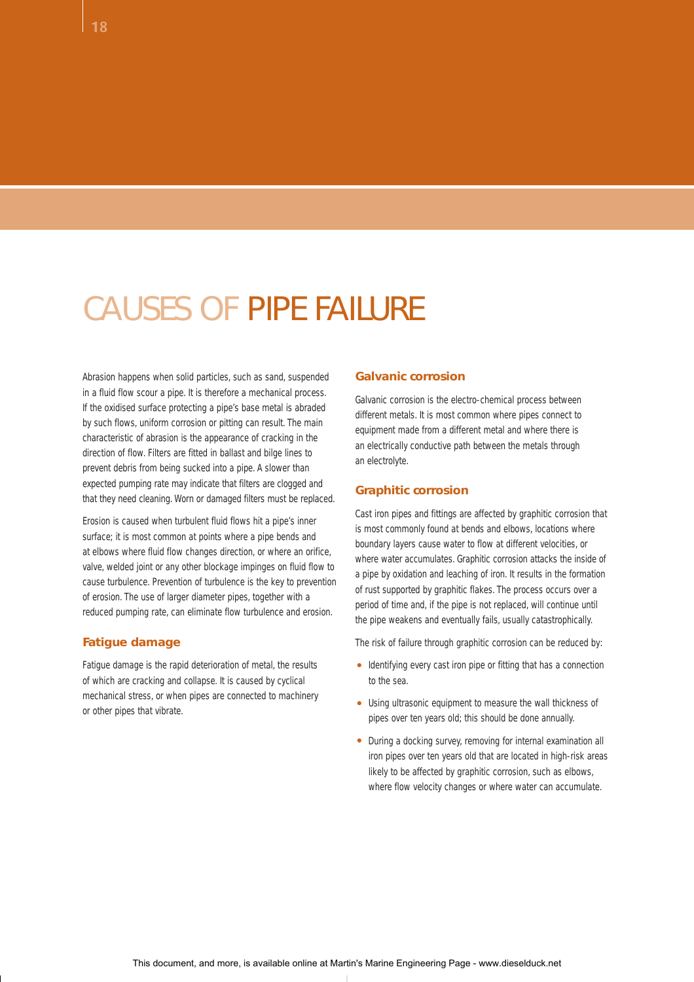### CAUSES OF PIPE FAILURE

Abrasion happens when solid particles, such as sand, suspended in a fluid flow scour a pipe. It is therefore a mechanical process. If the oxidised surface protecting a pipe's base metal is abraded by such flows, uniform corrosion or pitting can result. The main characteristic of abrasion is the appearance of cracking in the direction of flow. Filters are fitted in ballast and bilge lines to prevent debris from being sucked into a pipe. A slower than expected pumping rate may indicate that filters are clogged and that they need cleaning. Worn or damaged filters must be replaced.

Erosion is caused when turbulent fluid flows hit a pipe's inner surface; it is most common at points where a pipe bends and at elbows where fluid flow changes direction, or where an orifice, valve, welded joint or any other blockage impinges on fluid flow to cause turbulence. Prevention of turbulence is the key to prevention of erosion. The use of larger diameter pipes, together with a reduced pumping rate, can eliminate flow turbulence and erosion.

#### **Fatigue damage**

Fatigue damage is the rapid deterioration of metal, the results of which are cracking and collapse. It is caused by cyclical mechanical stress, or when pipes are connected to machinery or other pipes that vibrate.

#### **Galvanic corrosion**

Galvanic corrosion is the electro-chemical process between different metals. It is most common where pipes connect to equipment made from a different metal and where there is an electrically conductive path between the metals through an electrolyte.

#### **Graphitic corrosion**

Cast iron pipes and fittings are affected by graphitic corrosion that is most commonly found at bends and elbows, locations where boundary layers cause water to flow at different velocities, or where water accumulates. Graphitic corrosion attacks the inside of a pipe by oxidation and leaching of iron. It results in the formation of rust supported by graphitic flakes. The process occurs over a period of time and, if the pipe is not replaced, will continue until the pipe weakens and eventually fails, usually catastrophically.

The risk of failure through graphitic corrosion can be reduced by:

- Identifying every cast iron pipe or fitting that has a connection to the sea.
- Using ultrasonic equipment to measure the wall thickness of pipes over ten years old; this should be done annually.
- During a docking survey, removing for internal examination all iron pipes over ten years old that are located in high-risk areas likely to be affected by graphitic corrosion, such as elbows, where flow velocity changes or where water can accumulate.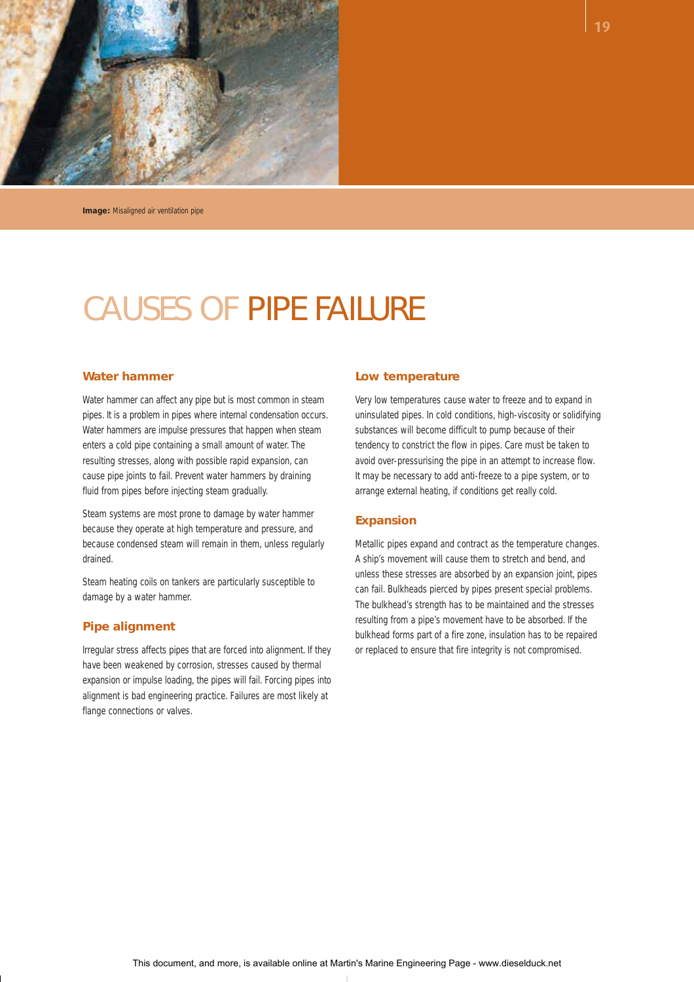

### CAUSES OF PIPE FAILURE

#### **Water hammer**

Water hammer can affect any pipe but is most common in steam pipes. It is a problem in pipes where internal condensation occurs. Water hammers are impulse pressures that happen when steam enters a cold pipe containing a small amount of water. The resulting stresses, along with possible rapid expansion, can cause pipe joints to fail. Prevent water hammers by draining fluid from pipes before injecting steam gradually.

Steam systems are most prone to damage by water hammer because they operate at high temperature and pressure, and because condensed steam will remain in them, unless regularly drained.

Steam heating coils on tankers are particularly susceptible to damage by a water hammer.

#### **Pipe alignment**

Irregular stress affects pipes that are forced into alignment. If they have been weakened by corrosion, stresses caused by thermal expansion or impulse loading, the pipes will fail. Forcing pipes into alignment is bad engineering practice. Failures are most likely at flange connections or valves.

#### **Low temperature**

Very low temperatures cause water to freeze and to expand in uninsulated pipes. In cold conditions, high-viscosity or solidifying substances will become difficult to pump because of their tendency to constrict the flow in pipes. Care must be taken to avoid over-pressurising the pipe in an attempt to increase flow. It may be necessary to add anti-freeze to a pipe system, or to arrange external heating, if conditions get really cold.

**19**

#### **Expansion**

Metallic pipes expand and contract as the temperature changes. A ship's movement will cause them to stretch and bend, and unless these stresses are absorbed by an expansion joint, pipes can fail. Bulkheads pierced by pipes present special problems. The bulkhead's strength has to be maintained and the stresses resulting from a pipe's movement have to be absorbed. If the bulkhead forms part of a fire zone, insulation has to be repaired or replaced to ensure that fire integrity is not compromised.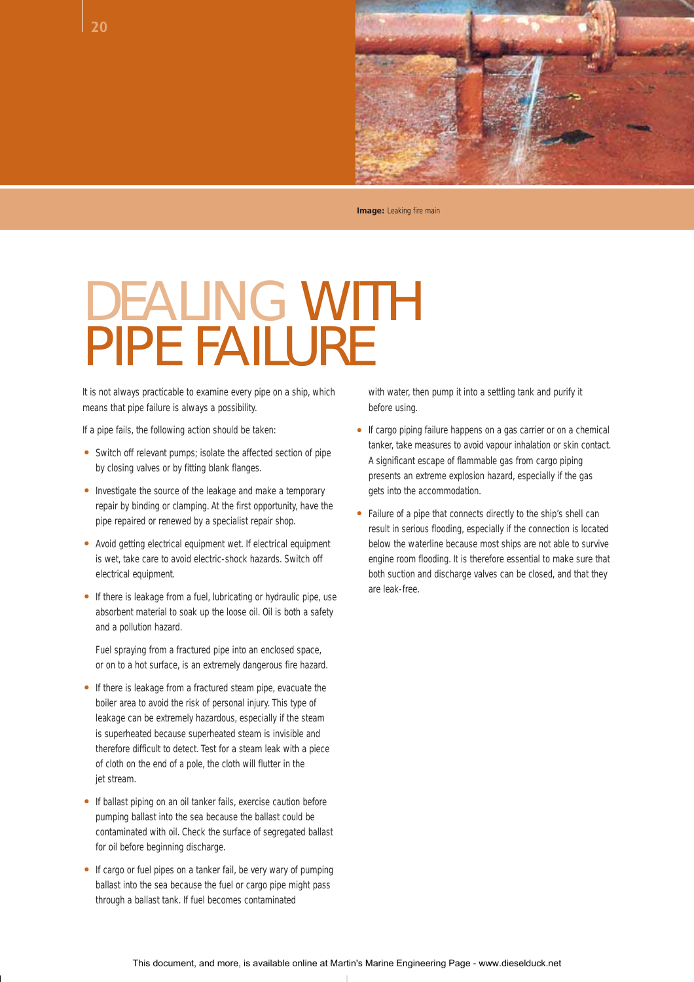

**Image:** Leaking fire main

## DEALING WITH PIPE FAILURE

It is not always practicable to examine every pipe on a ship, which means that pipe failure is always a possibility.

If a pipe fails, the following action should be taken:

**20**

- Switch off relevant pumps; isolate the affected section of pipe by closing valves or by fitting blank flanges.
- Investigate the source of the leakage and make a temporary repair by binding or clamping. At the first opportunity, have the pipe repaired or renewed by a specialist repair shop.
- Avoid getting electrical equipment wet. If electrical equipment is wet, take care to avoid electric-shock hazards. Switch off electrical equipment.
- If there is leakage from a fuel, lubricating or hydraulic pipe, use absorbent material to soak up the loose oil. Oil is both a safety and a pollution hazard.

Fuel spraying from a fractured pipe into an enclosed space, or on to a hot surface, is an extremely dangerous fire hazard.

- If there is leakage from a fractured steam pipe, evacuate the boiler area to avoid the risk of personal injury. This type of leakage can be extremely hazardous, especially if the steam is superheated because superheated steam is invisible and therefore difficult to detect. Test for a steam leak with a piece of cloth on the end of a pole, the cloth will flutter in the jet stream.
- If ballast piping on an oil tanker fails, exercise caution before pumping ballast into the sea because the ballast could be contaminated with oil. Check the surface of segregated ballast for oil before beginning discharge.
- If cargo or fuel pipes on a tanker fail, be very wary of pumping ballast into the sea because the fuel or cargo pipe might pass through a ballast tank. If fuel becomes contaminated

with water, then pump it into a settling tank and purify it before using.

- If cargo piping failure happens on a gas carrier or on a chemical tanker, take measures to avoid vapour inhalation or skin contact. A significant escape of flammable gas from cargo piping presents an extreme explosion hazard, especially if the gas gets into the accommodation.
- Failure of a pipe that connects directly to the ship's shell can result in serious flooding, especially if the connection is located below the waterline because most ships are not able to survive engine room flooding. It is therefore essential to make sure that both suction and discharge valves can be closed, and that they are leak-free.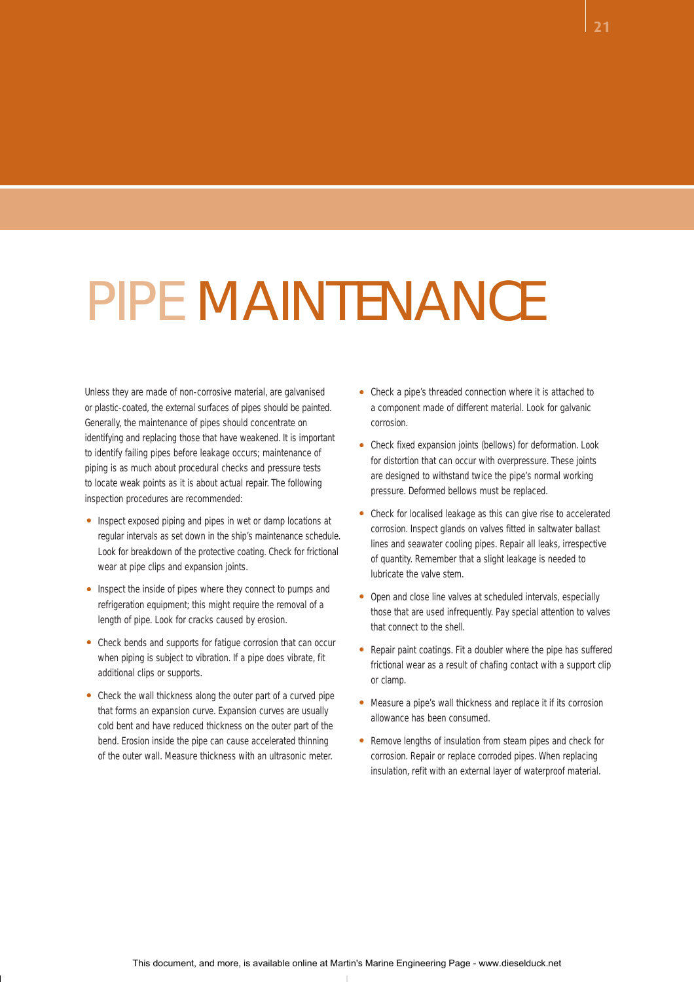# PIPE MAINTENANCE

Unless they are made of non-corrosive material, are galvanised or plastic-coated, the external surfaces of pipes should be painted. Generally, the maintenance of pipes should concentrate on identifying and replacing those that have weakened. It is important to identify failing pipes before leakage occurs; maintenance of piping is as much about procedural checks and pressure tests to locate weak points as it is about actual repair. The following inspection procedures are recommended:

- Inspect exposed piping and pipes in wet or damp locations at regular intervals as set down in the ship's maintenance schedule. Look for breakdown of the protective coating. Check for frictional wear at pipe clips and expansion joints.
- Inspect the inside of pipes where they connect to pumps and refrigeration equipment; this might require the removal of a length of pipe. Look for cracks caused by erosion.
- Check bends and supports for fatigue corrosion that can occur when piping is subject to vibration. If a pipe does vibrate, fit additional clips or supports.
- Check the wall thickness along the outer part of a curved pipe that forms an expansion curve. Expansion curves are usually cold bent and have reduced thickness on the outer part of the bend. Erosion inside the pipe can cause accelerated thinning of the outer wall. Measure thickness with an ultrasonic meter.
- Check a pipe's threaded connection where it is attached to a component made of different material. Look for galvanic corrosion.
- Check fixed expansion joints (bellows) for deformation. Look for distortion that can occur with overpressure. These joints are designed to withstand twice the pipe's normal working pressure. Deformed bellows must be replaced.
- Check for localised leakage as this can give rise to accelerated corrosion. Inspect glands on valves fitted in saltwater ballast lines and seawater cooling pipes. Repair all leaks, irrespective of quantity. Remember that a slight leakage is needed to lubricate the valve stem.
- Open and close line valves at scheduled intervals, especially those that are used infrequently. Pay special attention to valves that connect to the shell.
- Repair paint coatings. Fit a doubler where the pipe has suffered frictional wear as a result of chafing contact with a support clip or clamp.
- Measure a pipe's wall thickness and replace it if its corrosion allowance has been consumed.
- Remove lengths of insulation from steam pipes and check for corrosion. Repair or replace corroded pipes. When replacing insulation, refit with an external layer of waterproof material.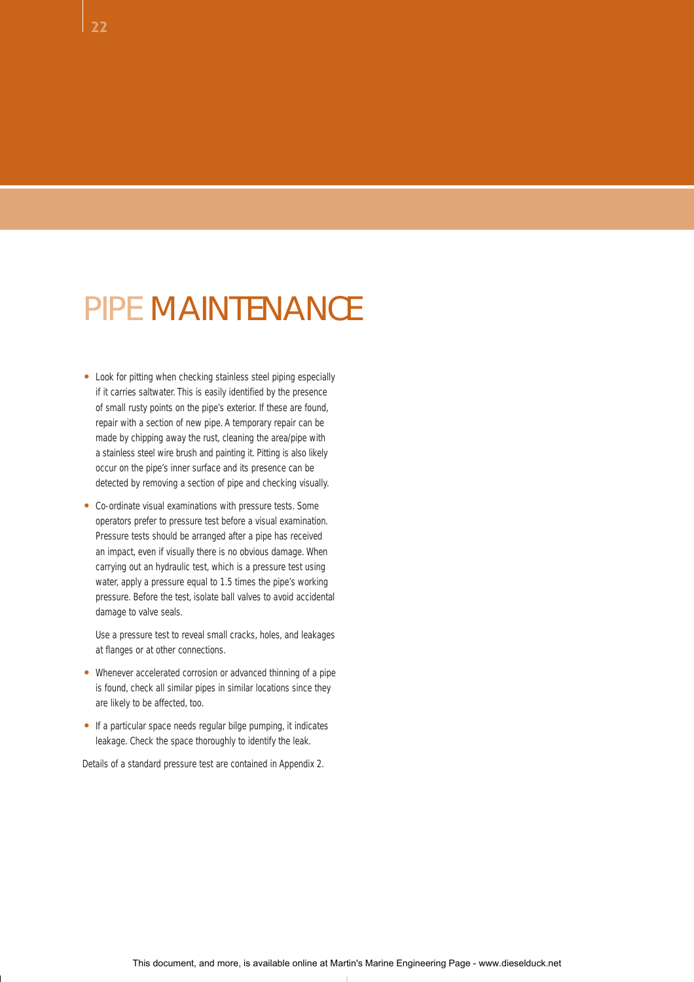### PIPE MAINTENANCE

**22**

- Look for pitting when checking stainless steel piping especially if it carries saltwater. This is easily identified by the presence of small rusty points on the pipe's exterior. If these are found, repair with a section of new pipe. A temporary repair can be made by chipping away the rust, cleaning the area/pipe with a stainless steel wire brush and painting it. Pitting is also likely occur on the pipe's inner surface and its presence can be detected by removing a section of pipe and checking visually.
- Co-ordinate visual examinations with pressure tests. Some operators prefer to pressure test before a visual examination. Pressure tests should be arranged after a pipe has received an impact, even if visually there is no obvious damage. When carrying out an hydraulic test, which is a pressure test using water, apply a pressure equal to 1.5 times the pipe's working pressure. Before the test, isolate ball valves to avoid accidental damage to valve seals.

Use a pressure test to reveal small cracks, holes, and leakages at flanges or at other connections.

- Whenever accelerated corrosion or advanced thinning of a pipe is found, check all similar pipes in similar locations since they are likely to be affected, too.
- If a particular space needs regular bilge pumping, it indicates leakage. Check the space thoroughly to identify the leak.

Details of a standard pressure test are contained in Appendix 2.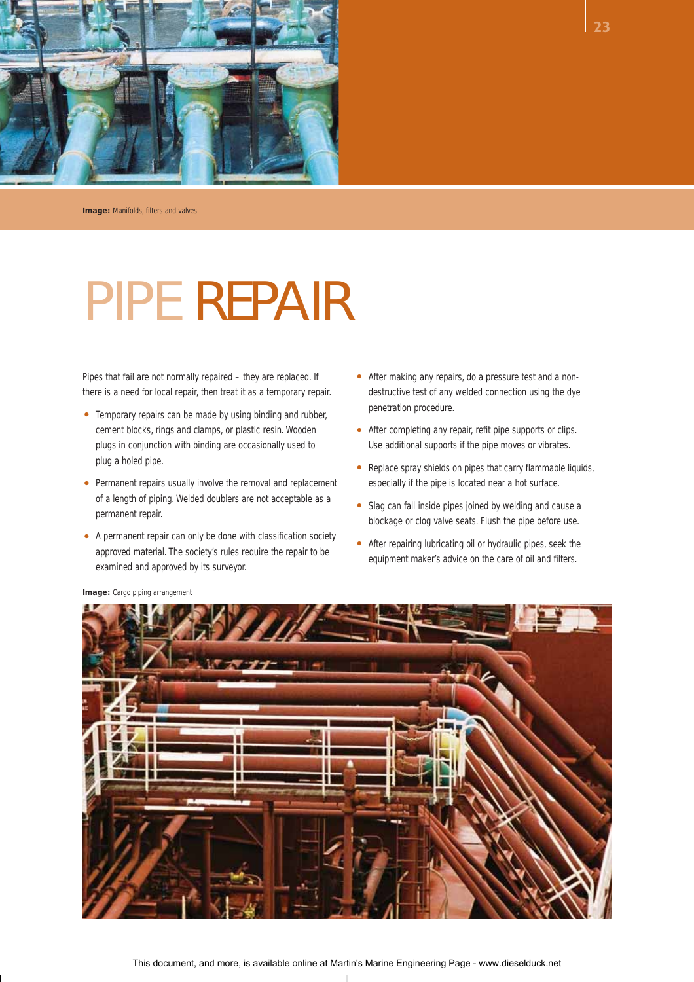

**Image:** Manifolds, filters and valves

## PIPE REPAIR

Pipes that fail are not normally repaired – they are replaced. If there is a need for local repair, then treat it as a temporary repair.

- Temporary repairs can be made by using binding and rubber, cement blocks, rings and clamps, or plastic resin. Wooden plugs in conjunction with binding are occasionally used to plug a holed pipe.
- Permanent repairs usually involve the removal and replacement of a length of piping. Welded doublers are not acceptable as a permanent repair.
- A permanent repair can only be done with classification society approved material. The society's rules require the repair to be examined and approved by its surveyor.
- After making any repairs, do a pressure test and a nondestructive test of any welded connection using the dye penetration procedure.
- After completing any repair, refit pipe supports or clips. Use additional supports if the pipe moves or vibrates.
- Replace spray shields on pipes that carry flammable liquids, especially if the pipe is located near a hot surface.
- Slag can fall inside pipes joined by welding and cause a blockage or clog valve seats. Flush the pipe before use.
- After repairing lubricating oil or hydraulic pipes, seek the equipment maker's advice on the care of oil and filters.



**Image:** Cargo piping arrangement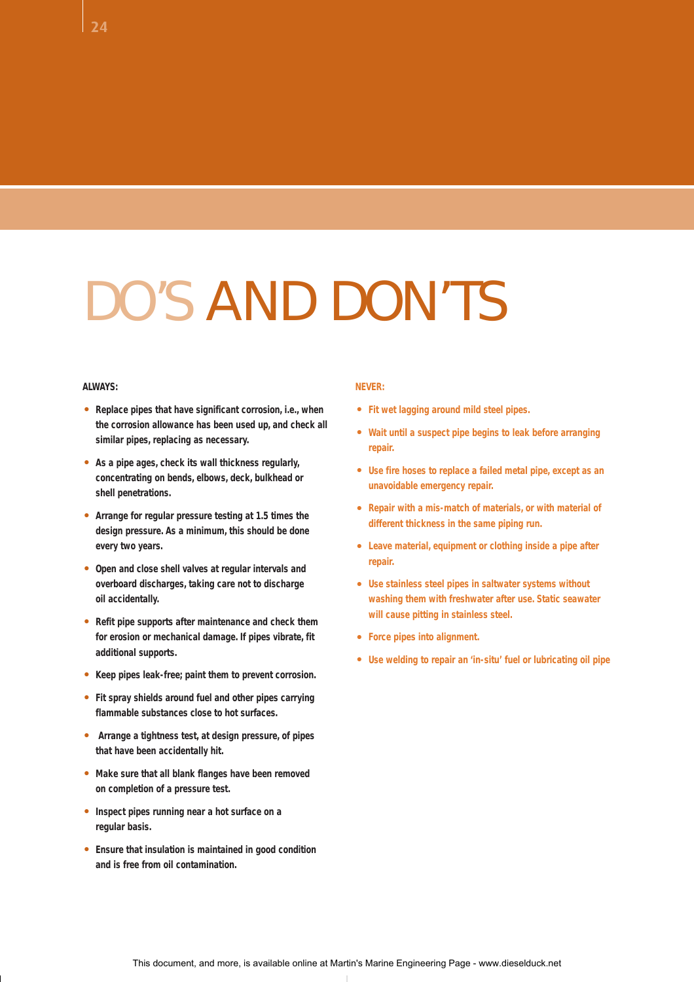# DO'S AND DON'TS

#### **ALWAYS:**

- **Replace pipes that have significant corrosion, i.e., when the corrosion allowance has been used up, and check all similar pipes, replacing as necessary.**
- **As a pipe ages, check its wall thickness regularly, concentrating on bends, elbows, deck, bulkhead or shell penetrations.**
- **Arrange for regular pressure testing at 1.5 times the design pressure. As a minimum, this should be done every two years.**
- **Open and close shell valves at regular intervals and overboard discharges, taking care not to discharge oil accidentally.**
- **Refit pipe supports after maintenance and check them for erosion or mechanical damage. If pipes vibrate, fit additional supports.**
- **Keep pipes leak-free; paint them to prevent corrosion.**
- **Fit spray shields around fuel and other pipes carrying flammable substances close to hot surfaces.**
- **Arrange a tightness test, at design pressure, of pipes that have been accidentally hit.**
- **Make sure that all blank flanges have been removed on completion of a pressure test.**
- **Inspect pipes running near a hot surface on a regular basis.**
- **Ensure that insulation is maintained in good condition and is free from oil contamination.**

#### **NEVER:**

- **Fit wet lagging around mild steel pipes.**
- **Wait until a suspect pipe begins to leak before arranging repair.**
- **Use fire hoses to replace a failed metal pipe, except as an unavoidable emergency repair.**
- **Repair with a mis-match of materials, or with material of different thickness in the same piping run.**
- **Leave material, equipment or clothing inside a pipe after repair.**
- **Use stainless steel pipes in saltwater systems without washing them with freshwater after use. Static seawater will cause pitting in stainless steel.**
- **Force pipes into alignment.**
- **Use welding to repair an 'in-situ' fuel or lubricating oil pipe**